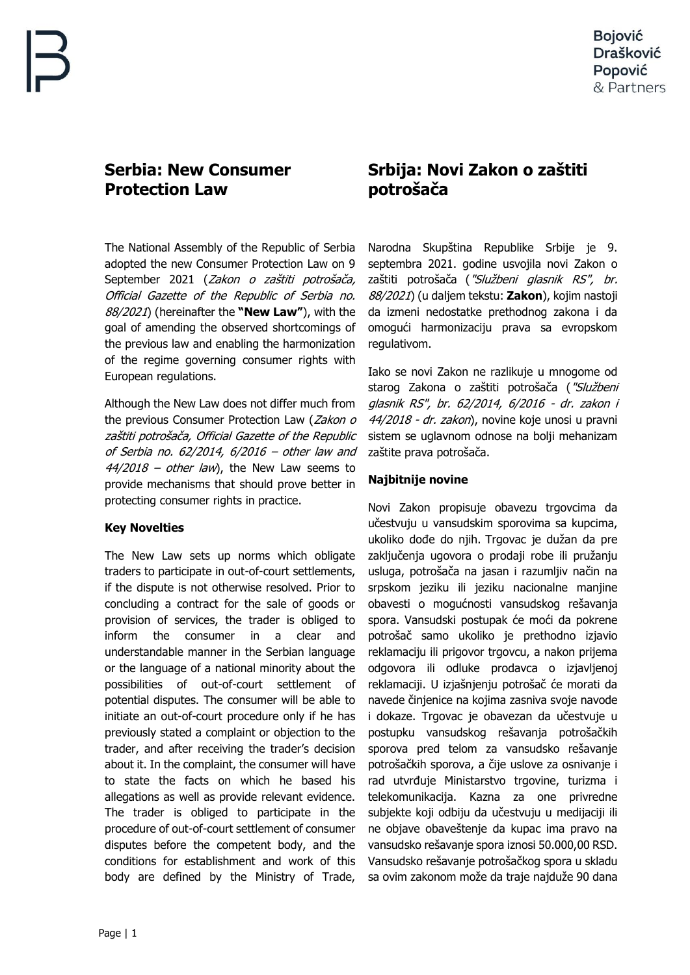## **Serbia: New Consumer Protection Law**

The National Assembly of the Republic of Serbia adopted the new Consumer Protection Law on 9 September 2021 (Zakon o zaštiti potrošača, Official Gazette of the Republic of Serbia no. 88/2021) (hereinafter the **"New Law"**), with the goal of amending the observed shortcomings of the previous law and enabling the harmonization of the regime governing consumer rights with European regulations.

Although the New Law does not differ much from the previous Consumer Protection Law (Zakon o zaštiti potrošača, Official Gazette of the Republic of Serbia no. 62/2014, 6/2016 – other law and  $44/2018$  – other law), the New Law seems to provide mechanisms that should prove better in protecting consumer rights in practice.

## **Key Novelties**

The New Law sets up norms which obligate traders to participate in out-of-court settlements, if the dispute is not otherwise resolved. Prior to concluding a contract for the sale of goods or provision of services, the trader is obliged to inform the consumer in a clear and understandable manner in the Serbian language or the language of a national minority about the possibilities of out-of-court settlement of potential disputes. The consumer will be able to initiate an out-of-court procedure only if he has previously stated a complaint or objection to the trader, and after receiving the trader's decision about it. In the complaint, the consumer will have to state the facts on which he based his allegations as well as provide relevant evidence. The trader is obliged to participate in the procedure of out-of-court settlement of consumer disputes before the competent body, and the conditions for establishment and work of this body are defined by the Ministry of Trade,

# **Srbija: Novi Zakon o zaštiti potrošača**

Narodna Skupština Republike Srbije je 9. septembra 2021. godine usvojila novi Zakon o zaštiti potrošača ("Službeni glasnik RS", br. 88/2021) (u daljem tekstu: **Zakon**), kojim nastoji da izmeni nedostatke prethodnog zakona i da omogući harmonizaciju prava sa evropskom regulativom.

Iako se novi Zakon ne razlikuje u mnogome od starog Zakona o zaštiti potrošača ("Službeni glasnik RS", br. 62/2014, 6/2016 - dr. zakon i 44/2018 - dr. zakon), novine koje unosi u pravni sistem se uglavnom odnose na bolji mehanizam zaštite prava potrošača.

### **Najbitnije novine**

Novi Zakon propisuje obavezu trgovcima da učestvuju u vansudskim sporovima sa kupcima, ukoliko dođe do njih. Trgovac je dužan da pre zaključenja ugovora o prodaji robe ili pružanju usluga, potrošača na jasan i razumljiv način na srpskom jeziku ili jeziku nacionalne manjine obavesti o mogućnosti vansudskog rešavanja spora. Vansudski postupak će moći da pokrene potrošač samo ukoliko je prethodno izjavio reklamaciju ili prigovor trgovcu, a nakon prijema odgovora ili odluke prodavca o izjavljenoj reklamaciji. U izjašnjenju potrošač će morati da navede činjenice na kojima zasniva svoje navode i dokaze. Trgovac je obavezan da učestvuje u postupku vansudskog rešavanja potrošačkih sporova pred telom za vansudsko rešavanje potrošačkih sporova, a čije uslove za osnivanje i rad utvrđuje Ministarstvo trgovine, turizma i telekomunikacija. Kazna za one privredne subjekte koji odbiju da učestvuju u medijaciji ili ne objave obaveštenje da kupac ima pravo na vansudsko rešavanje spora iznosi 50.000,00 RSD. Vansudsko rešavanje potrošačkog spora u skladu sa ovim zakonom može da traje najduže 90 dana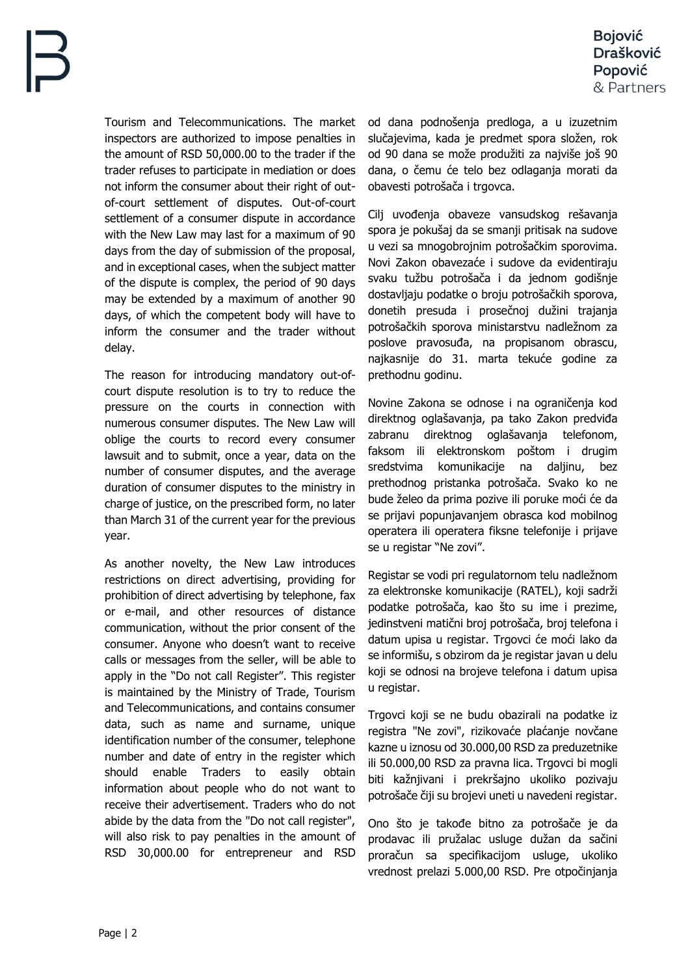Tourism and Telecommunications. The market inspectors are authorized to impose penalties in the amount of RSD 50,000.00 to the trader if the trader refuses to participate in mediation or does not inform the consumer about their right of outof-court settlement of disputes. Out-of-court settlement of a consumer dispute in accordance with the New Law may last for a maximum of 90 days from the day of submission of the proposal, and in exceptional cases, when the subject matter of the dispute is complex, the period of 90 days may be extended by a maximum of another 90 days, of which the competent body will have to inform the consumer and the trader without delay.

The reason for introducing mandatory out-ofcourt dispute resolution is to try to reduce the pressure on the courts in connection with numerous consumer disputes. The New Law will oblige the courts to record every consumer lawsuit and to submit, once a year, data on the number of consumer disputes, and the average duration of consumer disputes to the ministry in charge of justice, on the prescribed form, no later than March 31 of the current year for the previous year.

As another novelty, the New Law introduces restrictions on direct advertising, providing for prohibition of direct advertising by telephone, fax or e-mail, and other resources of distance communication, without the prior consent of the consumer. Anyone who doesn't want to receive calls or messages from the seller, will be able to apply in the "Do not call Register". This register is maintained by the Ministry of Trade, Tourism and Telecommunications, and contains consumer data, such as name and surname, unique identification number of the consumer, telephone number and date of entry in the register which should enable Traders to easily obtain information about people who do not want to receive their advertisement. Traders who do not abide by the data from the "Do not call register", will also risk to pay penalties in the amount of RSD 30,000.00 for entrepreneur and RSD

od dana podnošenja predloga, a u izuzetnim slučajevima, kada je predmet spora složen, rok od 90 dana se može produžiti za najviše još 90 dana, o čemu će telo bez odlaganja morati da obavesti potrošača i trgovca.

Cilj uvođenja obaveze vansudskog rešavanja spora je pokušaj da se smanji pritisak na sudove u vezi sa mnogobrojnim potrošačkim sporovima. Novi Zakon obavezaće i sudove da evidentiraju svaku tužbu potrošača i da jednom godišnje dostavljaju podatke o broju potrošačkih sporova, donetih presuda i prosečnoj dužini trajanja potrošačkih sporova ministarstvu nadležnom za poslove pravosuđa, na propisanom obrascu, najkasnije do 31. marta tekuće godine za prethodnu godinu.

Novine Zakona se odnose i na ograničenja kod direktnog oglašavanja, pa tako Zakon predviđa zabranu direktnog oglašavanja telefonom, faksom ili elektronskom poštom i drugim sredstvima komunikacije na daljinu, bez prethodnog pristanka potrošača. Svako ko ne bude želeo da prima pozive ili poruke moći će da se prijavi popunjavanjem obrasca kod mobilnog operatera ili operatera fiksne telefonije i prijave se u registar "Ne zovi".

Registar se vodi pri regulatornom telu nadležnom za elektronske komunikacije (RATEL), koji sadrži podatke potrošača, kao što su ime i prezime, jedinstveni matični broj potrošača, broj telefona i datum upisa u registar. Trgovci će moći lako da se informišu, s obzirom da je registar javan u delu koji se odnosi na brojeve telefona i datum upisa u registar.

Trgovci koji se ne budu obazirali na podatke iz registra "Ne zovi", rizikovaće plaćanje novčane kazne u iznosu od 30.000,00 RSD za preduzetnike ili 50.000,00 RSD za pravna lica. Trgovci bi mogli biti kažnjivani i prekršajno ukoliko pozivaju potrošače čiji su brojevi uneti u navedeni registar.

Ono što je takođe bitno za potrošače je da prodavac ili pružalac usluge dužan da sačini proračun sa specifikacijom usluge, ukoliko vrednost prelazi 5.000,00 RSD. Pre otpočinjanja